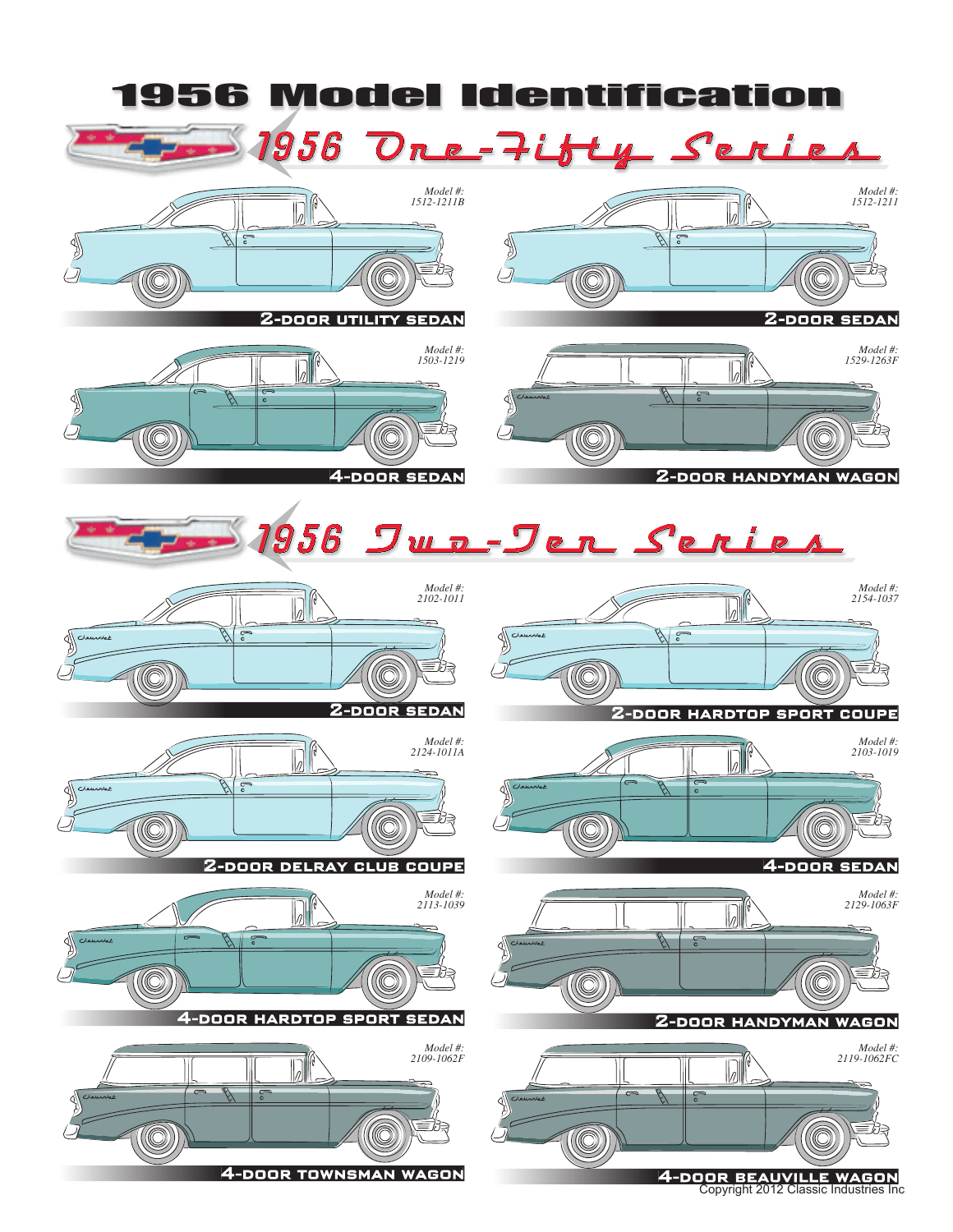